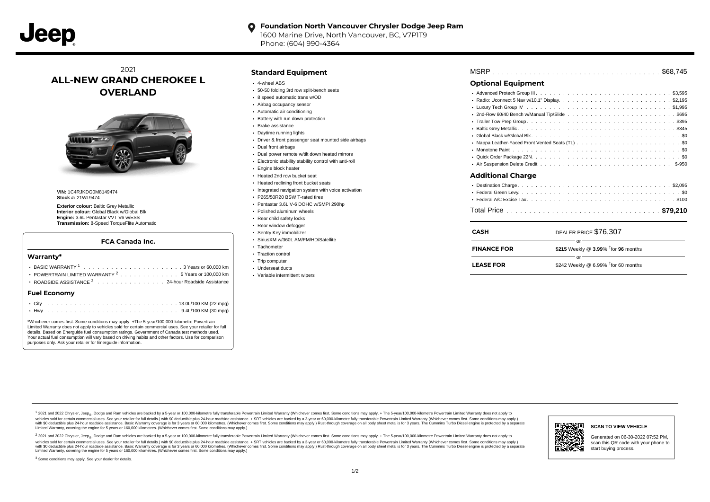#### **Foundation North Vancouver Chrysler Dodge Jeep Ram**  $\bullet$

1600 Marine Drive, North Vancouver, BC, V7P1T9 Phone: (604) 990-4364

# 2021 **ALL-NEW GRAND CHEROKEE L OVERLAND**



**VIN:** 1C4RJKDG0M8149474 **Stock #:** 21WL9474

**Exterior colour:** Baltic Grey Metallic **Interior colour:** Global Black w/Global Blk **Engine:** 3.6L Pentastar VVT V6 w/ESS **Transmission:** 8-Speed TorqueFlite Automatic

#### **FCA Canada Inc.**

# **Warranty\***

| POWERTRAIN LIMITED WARRANTY <sup>2</sup> 5 Years or 100,000 km                                                                                                                                                                                                                                                                                                                                                                                          |
|---------------------------------------------------------------------------------------------------------------------------------------------------------------------------------------------------------------------------------------------------------------------------------------------------------------------------------------------------------------------------------------------------------------------------------------------------------|
| ROADSIDE ASSISTANCE 3 24-hour Roadside Assistance                                                                                                                                                                                                                                                                                                                                                                                                       |
| <b>Fuel Economy</b>                                                                                                                                                                                                                                                                                                                                                                                                                                     |
|                                                                                                                                                                                                                                                                                                                                                                                                                                                         |
|                                                                                                                                                                                                                                                                                                                                                                                                                                                         |
| *Whichever comes first. Some conditions may apply. +The 5-year/100,000-kilometre Powertrain<br>Limited Warranty does not apply to vehicles sold for certain commercial uses. See your retailer for full<br>$\mathcal{L} \times \mathcal{H}$ . The set of the set of the set of the set of the set of the set of the set of the set of the set of the set of the set of the set of the set of the set of the set of the set of the set of the set of the |

details. Based on Energuide fuel consumption ratings. Government of Canada test methods used. Your actual fuel consumption will vary based on driving habits and other factors. Use for comparison purposes only. Ask your retailer for Energuide information.

### **Standard Equipment**

- 4-wheel ABS
- 50-50 folding 3rd row split-bench seats
- 8 speed automatic trans w/OD
- Airbag occupancy sensor
- Automatic air conditioning
- Battery with run down protection
- Brake assistance
- Daytime running lights
- Driver & front passenger seat mounted side airbags
- Dual front airbags
- Dual power remote w/tilt down heated mirrors
- Electronic stability stability control with anti-roll
- Engine block heater
- Heated 2nd row bucket seat
- **Heated reclining front bucket seats**
- Integrated navigation system with voice activation
- P265/50R20 BSW T-rated tires
- Pentastar 3.6L V-6 DOHC w/SMPI 290hp
- Polished aluminum wheels
- Rear child safety locks
- Rear window defogger
- Sentry Key immobilizer
- SiriusXM w/360L AM/FM/HD/Satellite
- · Tachometer
- Traction control
- · Trip computer
- Underseat ducts
- Variable intermittent wipers

| <b>Optional Equipment</b> |                       |  |
|---------------------------|-----------------------|--|
|                           |                       |  |
|                           |                       |  |
|                           |                       |  |
|                           |                       |  |
|                           |                       |  |
|                           |                       |  |
|                           |                       |  |
|                           |                       |  |
|                           |                       |  |
|                           |                       |  |
|                           |                       |  |
| <b>Additional Charge</b>  |                       |  |
|                           |                       |  |
|                           |                       |  |
|                           |                       |  |
|                           |                       |  |
|                           |                       |  |
| <b>CASH</b>               | DEALER PRICE \$76,307 |  |
|                           | or                    |  |

| <b>FINANCE FOR</b> | \$215 Weekly @ $3.99\%$ <sup>†</sup> for 96 months |  |  |
|--------------------|----------------------------------------------------|--|--|
| Ωr                 |                                                    |  |  |
| <b>LEASE FOR</b>   | \$242 Weekly @ 6.99% $†$ for 60 months             |  |  |

1 2021 and 2022 Chrysler, Jeep<sub>en</sub> Dodge and Ram vehicles are backed by a 5-year or 100,000-kilometre fully transferable Powertrain Limited Warranty (Whichever comes first. Some conditions may apply. + The 5-year/100,000-k vehicles sold for certain commercial uses. See your retailer for full details.) with \$0 deductible plus 24-hour roadside assistance. + SRT vehicles are backed by a 3-year or 60,000-kilometre fully transferable Powertrain L versus and contract the mean of the contract of the contract with a contract with a contract the contract of the search of the contract and a control of the contract and contract and control of the search of the search of Limited Warranty, covering the engine for 5 years or 160,000 kilometres. (Whichever comes first. Some conditions may apply.)

<sup>2</sup> 2021 and 2022 Chrysler, Jeep<sub>®</sub>, Dodge and Ram vehicles are backed by a 5-year or 100,000-kilometre fully transferable Powertrain Limited Warranty (Whichever comes first. Some conditions may apply. + The 5-year/100,000 vehicles sold for certain commercial uses. See your retailer for full details.) with SO deductible plus 24-hour roadside assistance. + SRT vehicles are backed by a 3-year or 60.000-kilometre fully transferable Powertrain L with S0 deductible plus 24-hour roadside assistance. Basic Warranty coverage is for 3 years or 60,000 kilometres. (Whichever comes first. Some conditions may apply.) Rust-through coverage on all body sheet metal is for 3 y

<sup>3</sup> Some conditions may apply. See your dealer for details.



Generated on 06-30-2022 07:52 PM, scan this QR code with your phone to